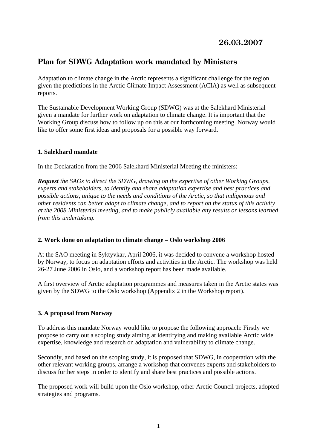# **26.03.2007**

# **Plan for SDWG Adaptation work mandated by Ministers**

Adaptation to climate change in the Arctic represents a significant challenge for the region given the predictions in the Arctic Climate Impact Assessment (ACIA) as well as subsequent reports.

The Sustainable Development Working Group (SDWG) was at the Salekhard Ministerial given a mandate for further work on adaptation to climate change. It is important that the Working Group discuss how to follow up on this at our forthcoming meeting. Norway would like to offer some first ideas and proposals for a possible way forward.

# **1. Salekhard mandate**

In the Declaration from the 2006 Salekhard Ministerial Meeting the ministers:

*Request the SAOs to direct the SDWG, drawing on the expertise of other Working Groups, experts and stakeholders, to identify and share adaptation expertise and best practices and possible actions, unique to the needs and conditions of the Arctic, so that indigenous and other residents can better adapt to climate change, and to report on the status of this activity at the 2008 Ministerial meeting, and to make publicly available any results or lessons learned from this undertaking.* 

# **2. Work done on adaptation to climate change – Oslo workshop 2006**

At the SAO meeting in Syktyvkar, April 2006, it was decided to convene a workshop hosted by Norway, to focus on adaptation efforts and activities in the Arctic. The workshop was held 26-27 June 2006 in Oslo, and a workshop report has been made available.

A first overview of Arctic adaptation programmes and measures taken in the Arctic states was given by the SDWG to the Oslo workshop (Appendix 2 in the Workshop report).

# **3. A proposal from Norway**

To address this mandate Norway would like to propose the following approach: Firstly we propose to carry out a scoping study aiming at identifying and making available Arctic wide expertise, knowledge and research on adaptation and vulnerability to climate change.

Secondly, and based on the scoping study, it is proposed that SDWG, in cooperation with the other relevant working groups, arrange a workshop that convenes experts and stakeholders to discuss further steps in order to identify and share best practices and possible actions.

The proposed work will build upon the Oslo workshop, other Arctic Council projects, adopted strategies and programs.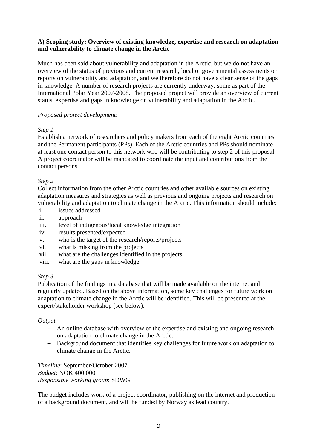# **A) Scoping study: Overview of existing knowledge, expertise and research on adaptation and vulnerability to climate change in the Arctic**

Much has been said about vulnerability and adaptation in the Arctic, but we do not have an overview of the status of previous and current research, local or governmental assessments or reports on vulnerability and adaptation, and we therefore do not have a clear sense of the gaps in knowledge. A number of research projects are currently underway, some as part of the International Polar Year 2007-2008. The proposed project will provide an overview of current status, expertise and gaps in knowledge on vulnerability and adaptation in the Arctic.

# *Proposed project development*:

# *Step 1*

Establish a network of researchers and policy makers from each of the eight Arctic countries and the Permanent participants (PPs). Each of the Arctic countries and PPs should nominate at least one contact person to this network who will be contributing to step 2 of this proposal. A project coordinator will be mandated to coordinate the input and contributions from the contact persons.

# *Step 2*

Collect information from the other Arctic countries and other available sources on existing adaptation measures and strategies as well as previous and ongoing projects and research on vulnerability and adaptation to climate change in the Arctic. This information should include:

- i. issues addressed
- ii. approach
- iii. level of indigenous/local knowledge integration
- iv. results presented/expected
- v. who is the target of the research/reports/projects
- vi. what is missing from the projects
- vii. what are the challenges identified in the projects
- viii. what are the gaps in knowledge

# *Step 3*

Publication of the findings in a database that will be made available on the internet and regularly updated. Based on the above information, some key challenges for future work on adaptation to climate change in the Arctic will be identified. This will be presented at the expert/stakeholder workshop (see below).

#### *Output*

- − An online database with overview of the expertise and existing and ongoing research on adaptation to climate change in the Arctic.
- − Background document that identifies key challenges for future work on adaptation to climate change in the Arctic.

*Timeline*: September/October 2007. *Budget*: NOK 400 000 *Responsible working group*: SDWG

The budget includes work of a project coordinator, publishing on the internet and production of a background document, and will be funded by Norway as lead country.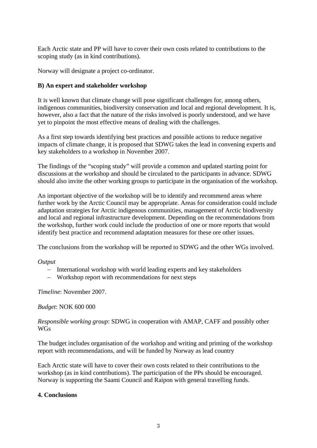Each Arctic state and PP will have to cover their own costs related to contributions to the scoping study (as in kind contributions).

Norway will designate a project co-ordinator.

# **B) An expert and stakeholder workshop**

It is well known that climate change will pose significant challenges for, among others, indigenous communities, biodiversity conservation and local and regional development. It is, however, also a fact that the nature of the risks involved is poorly understood, and we have yet to pinpoint the most effective means of dealing with the challenges.

As a first step towards identifying best practices and possible actions to reduce negative impacts of climate change, it is proposed that SDWG takes the lead in convening experts and key stakeholders to a workshop in November 2007.

The findings of the "scoping study" will provide a common and updated starting point for discussions at the workshop and should be circulated to the participants in advance. SDWG should also invite the other working groups to participate in the organisation of the workshop.

An important objective of the workshop will be to identify and recommend areas where further work by the Arctic Council may be appropriate. Areas for consideration could include adaptation strategies for Arctic indigenous communities, management of Arctic biodiversity and local and regional infrastructure development. Depending on the recommendations from the workshop, further work could include the production of one or more reports that would identify best practice and recommend adaptation measures for these ore other issues.

The conclusions from the workshop will be reported to SDWG and the other WGs involved.

*Output* 

- − International workshop with world leading experts and key stakeholders
- − Workshop report with recommendations for next steps

*Timeline*: November 2007.

*Budget*: NOK 600 000

*Responsible working group*: SDWG in cooperation with AMAP, CAFF and possibly other WGs

The budget includes organisation of the workshop and writing and printing of the workshop report with recommendations, and will be funded by Norway as lead country

Each Arctic state will have to cover their own costs related to their contributions to the workshop (as in kind contributions). The participation of the PPs should be encouraged. Norway is supporting the Saami Council and Raipon with general travelling funds.

#### **4. Conclusions**